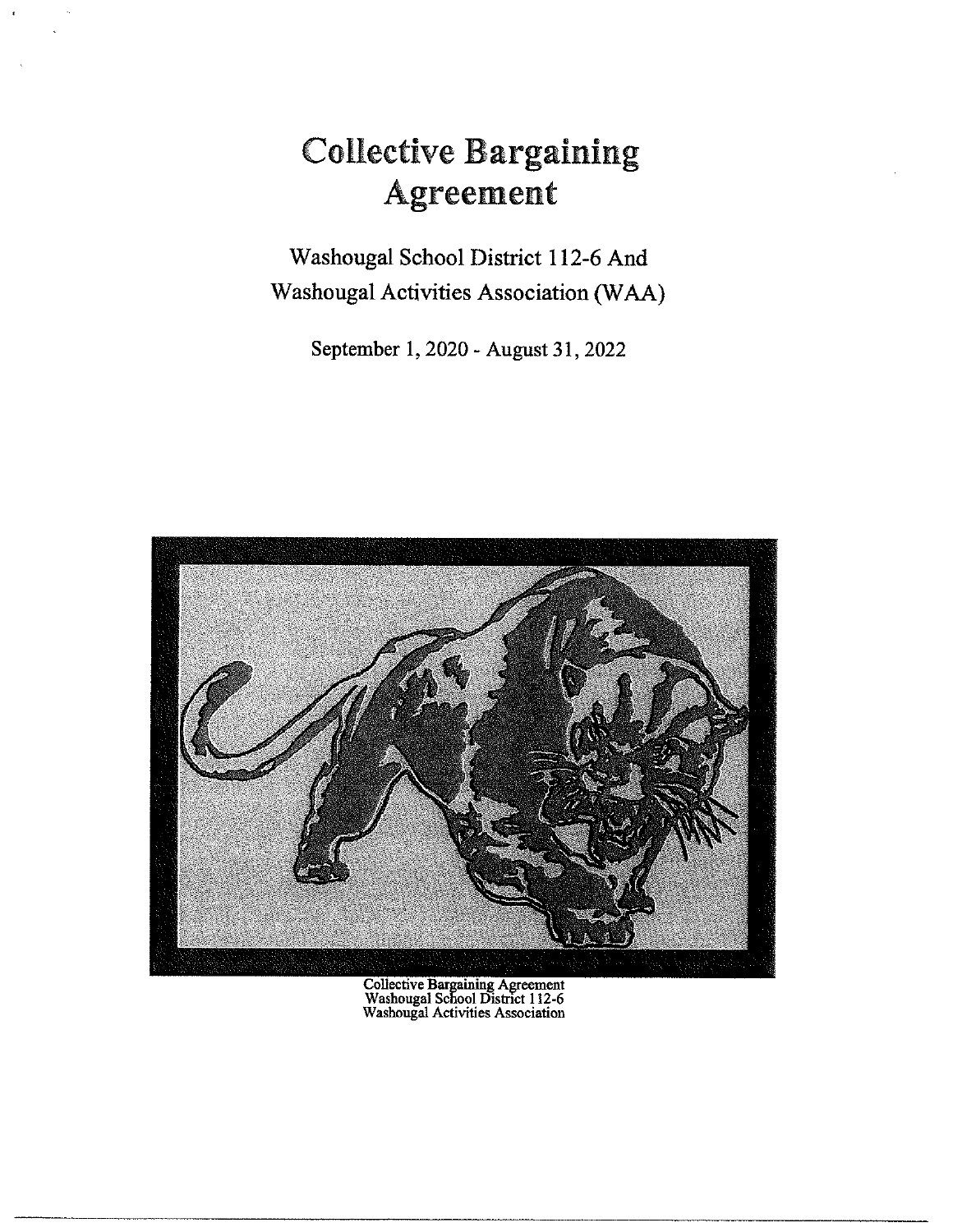# Collective Bargaining Agreement

Washougal School District 112-6 And Washougal Activities Association **(W AA)** 

September 1, 2020 - August 31, 2022



Collective Bargaining Agreement Washougal School District 112-6 Washougal Activities Association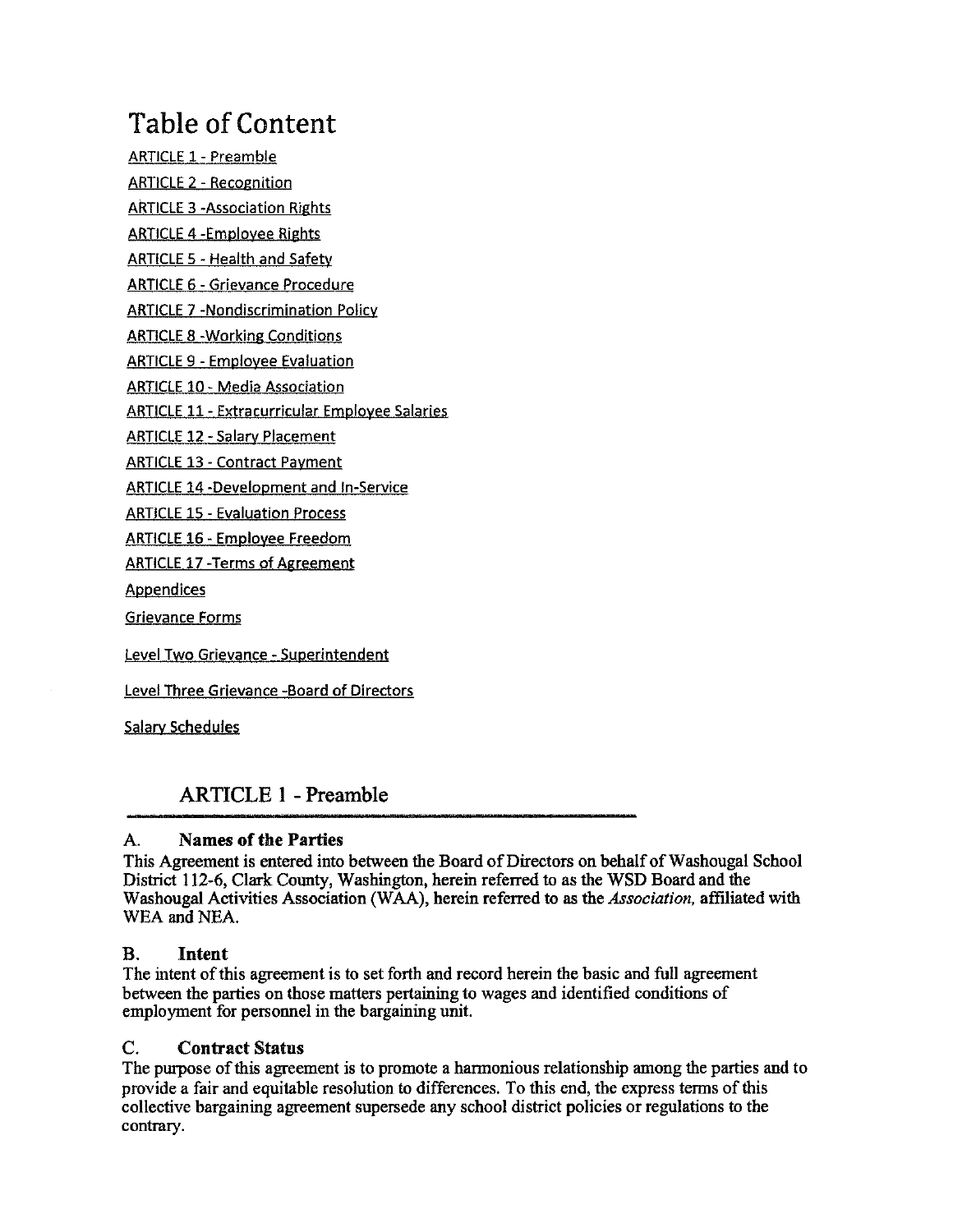## Table of Content

ARTICLE 1 - Preamble ARTICLE 2 - Recognition ARTICLE 3 -Association Rights

ARTICLE 4 -Employee Rights

ARTICLE 5 - Health and Safety

ARTICLE 6 - Grievance Procedure

ARTICLE 7 -Nondiscrimination Policy

ARTICLE 8 -Working Conditions

ARTICLE 9 - Employee Evaluation

ARTICLE 10 - Media Association

ARTICLE 11 - Extracurricular Employee Salaries

ARTICLE 12 - Salary Placement

ARTICLE 13 - Contract Payment

ARTICLE 14 -Development and In-Service

ARTICLE 15 - Evaluation Process

ARTICLE 16 • Employee Freedom

ARTICLE 17 -Terms of Agreement

Appendices

Grievance Forms

Level Two Grievance - Superintendent

Level Three Grievance -Board of Directors

Salary Schedules

## **ARTICLE 1** - **Preamble**

#### A. **Names of the Parties**

This Agreement is entered into between the Board of Directors on behalf of Washougal School District 112-6, Clark County, Washington, herein referred to as the WSD Board and the Washougal Activities Association (W AA), herein referred to as the *Association,* affiliated with WEA and NEA.

#### B. **Intent**

The intent of this agreement is to set forth and record herein the basic and full agreement between the parties on those matters pertaining to wages and identified conditions of employment for personnel in the bargaining unit.

#### C. **Contract Status**

The purpose of this agreement is to promote a harmonious relationship among the parties and to provide a fair and equitable resolution to differences. To this end, the express terms of this collective bargaining agreement supersede any school district policies or regulations to the contrary.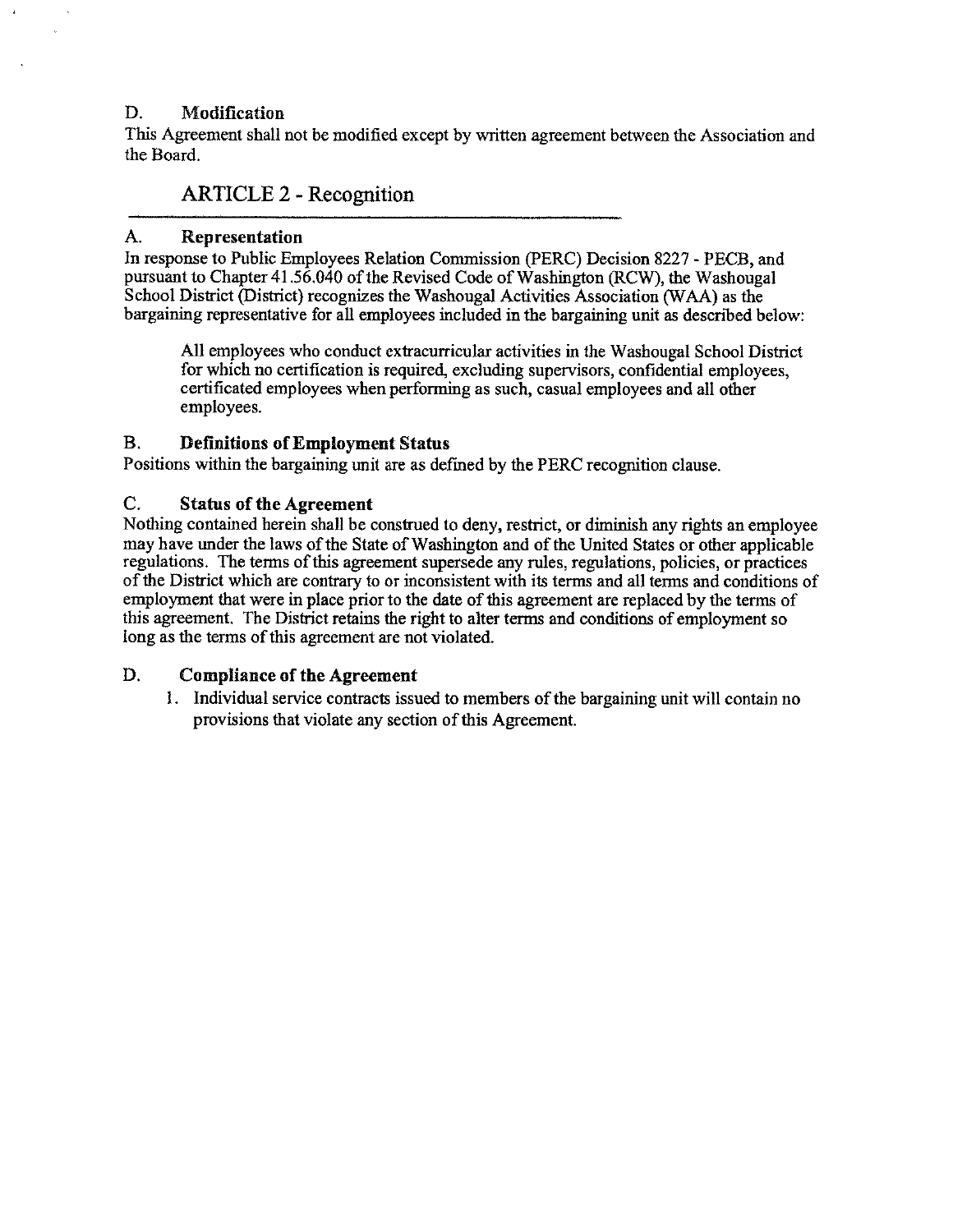#### D. **Modification**

This Agreement shall not be modified except by written agreement between the Association and the Board.

### ARTICLE 2 - Recognition

#### A. **Representation**

In response to Public Employees Relation Commission (PERC) Decision 8227 - PECB, and pursuant to Chapter 41 .56.040 of the Revised Code of Washington (RCW), the Washougal School District (District) recognizes the Washougal Activities Association (WAA) as the bargaining representative for all employees included in the bargaining unit as described below:

All employees who conduct extracurricular activities in the Washougal School District for which no certification is required, excluding supervisors, confidential employees, certificated employees when performing as such, casual employees and all other employees.

#### B. **Definitions of Employment Status**

Positions within the bargaining unit are as defined by the PERC recognition clause.

#### C. **Status of the Agreement**

Nothing contained herein shall be construed to deny, restrict, or diminish any rights an employee may have under the laws of the State of Washington and of the United States or other applicable regulations. The terms of this agreement supersede any rules, regulations, policies, or practices of the District which are contrary to or inconsistent with its terms and all terms and conditions of employment that were in place prior to the date of this agreement are replaced by the terms of this agreement. The District retains the right to alter terms and conditions of employment so long as the terms of this agreement are not violated.

#### D. **Compliance of the Agreement**

1. Individual service contracts issued to members of the bargaining unit will contain no provisions that violate any section of this Agreement.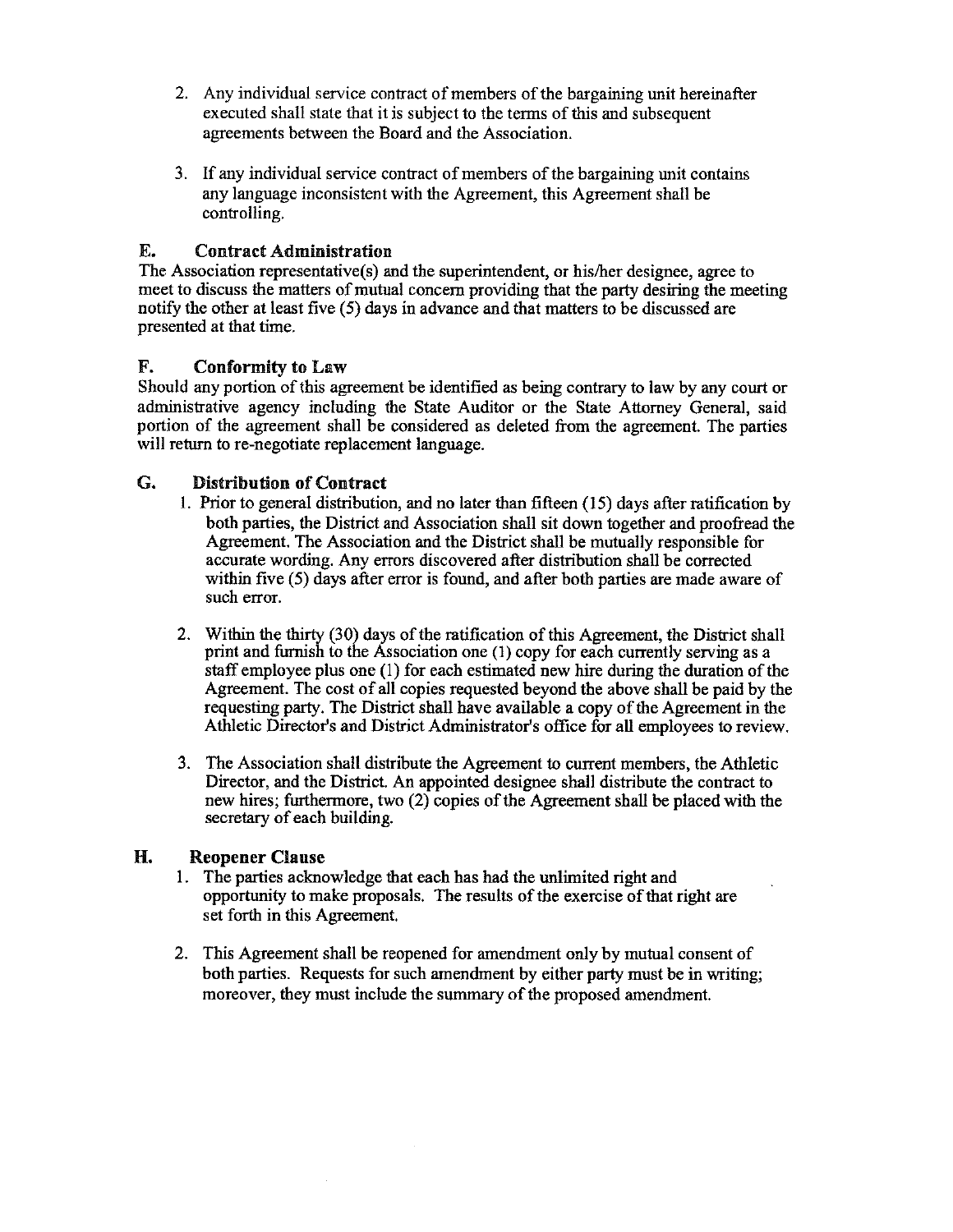- 2. Any individual service contract of members of the bargaining unit hereinafter executed shall state that it is subject to the terms of this and subsequent agreements between the Board and the Association.
- 3. If any individual service contract of members of the bargaining unit contains any language inconsistent with the Agreement, this Agreement shall be controlling.

#### E. Contract Administration

The Association representative(s) and the superintendent, or his/her designee, agree to meet to discuss the matters of mutual concern providing that the party desiring the meeting notify the other at least five (5) days in advance and that matters to be discussed are presented at that time.

#### F. Conformity to Law

Should any portion of this agreement be identified as being contrary to law by any court or administrative agency including the State Auditor or the State Attorney General, said portion of the agreement shall be considered as deleted from the agreement. The parties will return to re-negotiate replacement language.

#### G. Distribution of Contract

- I. Prior to general distribution, and no later than fifteen (15) days after ratification by both parties, the District and Association shall sit down together and proofread the Agreement. The Association and the District shall be mutually responsible for accurate wording. Any errors discovered after distribution shall be corrected within five (5) days after error is found, and after both parties are made aware of such error.
- 2. Within the thirty (30) days of the ratification of this Agreement, the District shall print and furnish to the Association one (I) copy for each currently serving as a staff employee plus one (I) for each estimated new hire during the duration of the Agreement. The cost of all copies requested beyond the above shall be paid by the requesting party. The District shall have available a copy of the Agreement in the Athletic Director's and District Administrator's office for all employees to review.
- 3. The Association shall distribute the Agreement to current members, the Athletic Director, and the District. An appointed designee shall distribute the contract to new hires; furthermore, two (2) copies of the Agreement shall be placed with the secretary of each building.

#### **H. Reopener Clause**

- 1. The parties acknowledge that each has had the unlimited right and opportunity to make proposals. The results of the exercise of that right are set forth in this Agreement.
- 2. This Agreement shall be reopened for amendment only by mutual consent of both parties. Requests for such amendment by either party must be in writing; moreover, they must include the summary of the proposed amendment.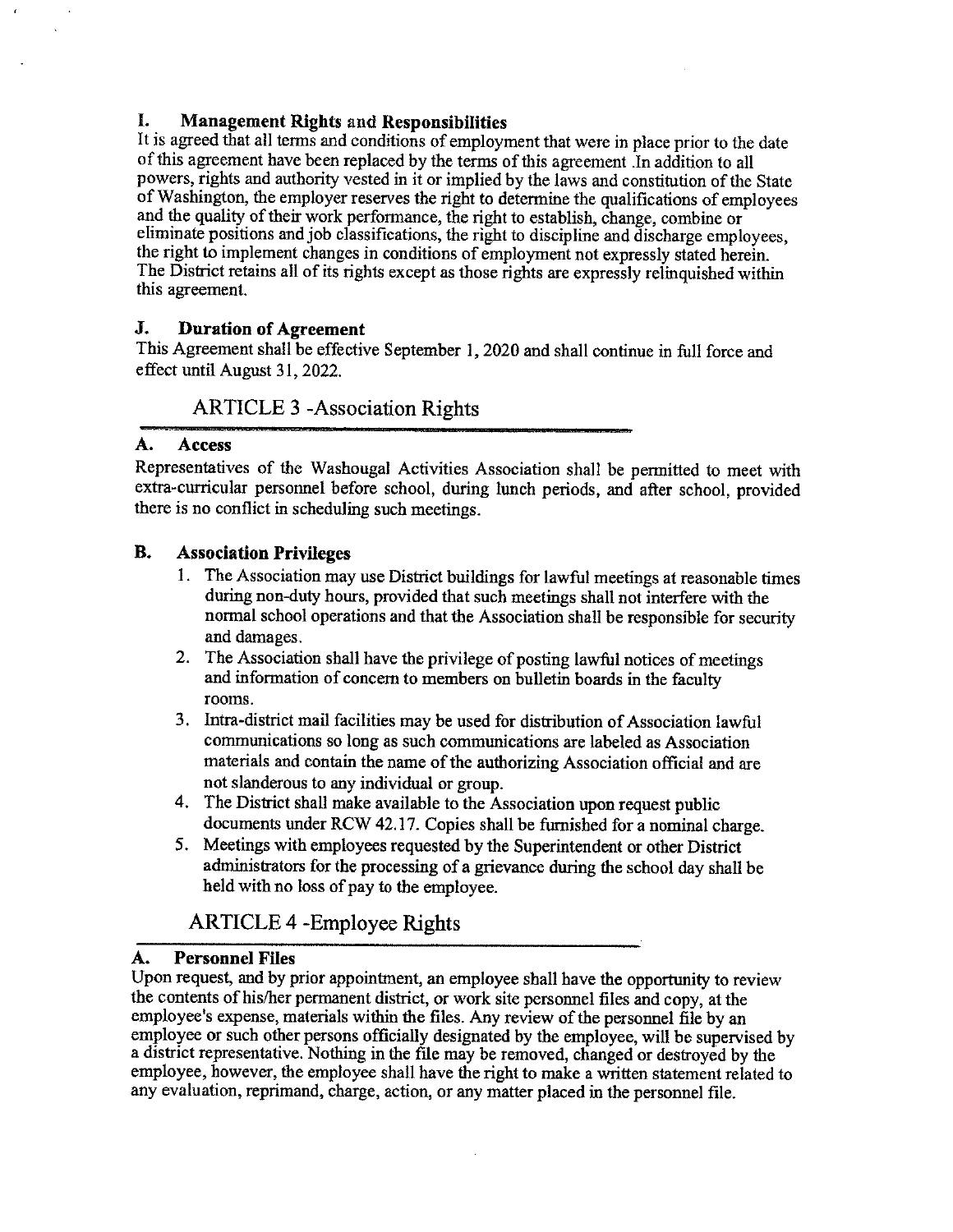#### I. **Management Rights** and **Responsibilities**

It is agreed that all terms and conditions of employment that were in place prior to the date of this agreement have been replaced by the terms of this agreement .In addition to all powers, rights and authority vested in it or implied by the laws and constitution of the State of Washington, the employer reserves the right to determine the qualifications of employees and the quality of their work performance, the right to establish, change, combine or eliminate positions and job classifications, the right to discipline and discharge employees, the right to implement changes in conditions of employment not expressly stated herein. The District retains all of its rights except as those rights are expressly relinquished within this agreement.

#### **J. Duration of Agreement**

This Agreement shall be effective September I, 2020 and shall continue in full force and effect until August 31, 2022.

### ARTICLE 3 -Association Rights

#### **A. Access**

Representatives of the Washougal Activities Association shall be permitted to meet with extra-curricular personnel before school, during lunch periods, and after school, provided there is no conflict in scheduling such meetings.

#### **B. Association Privileges**

- I . The Association may use District buildings for lawful meetings at reasonable times during non-duty hours, provided that such meetings shall not interfere with the normal school operations and that the Association shall be responsible for security and damages.
- 2. The Association shall have the privilege of posting lawful notices of meetings and information of concern to members on bulletin boards in the faculty rooms.
- 3. Intra-district mail facilities may be used for distribution of Association lawful communications so long as such communications are labeled as Association materials and contain the name of the authorizing Association official and are not slanderous to any individual or group.
- 4. The District shall make available to the Association upon request public documents under RCW 42.17. Copies shall be furnished for a nominal charge.
- 5. Meetings with employees requested by the Superintendent or other District administrators for the processing of a grievance during the school day shall be held with no loss of pay to the employee.

## ARTICLE 4 -Employee Rights

#### **A. Personnel Files**

Upon request, and by prior appointment, an employee shall have the opportunity to review the contents of his/her permanent district, or work site personnel files and copy, at the employee's expense, materials within the files. Any review of the personnel file by an employee or such other persons officially designated by the employee, will be supervised by a district representative. Nothing in the file may be removed, changed or destroyed by the employee, however, the employee shall have the right to make a written statement related to any evaluation, reprimand, charge, action, or any matter placed in the personnel file.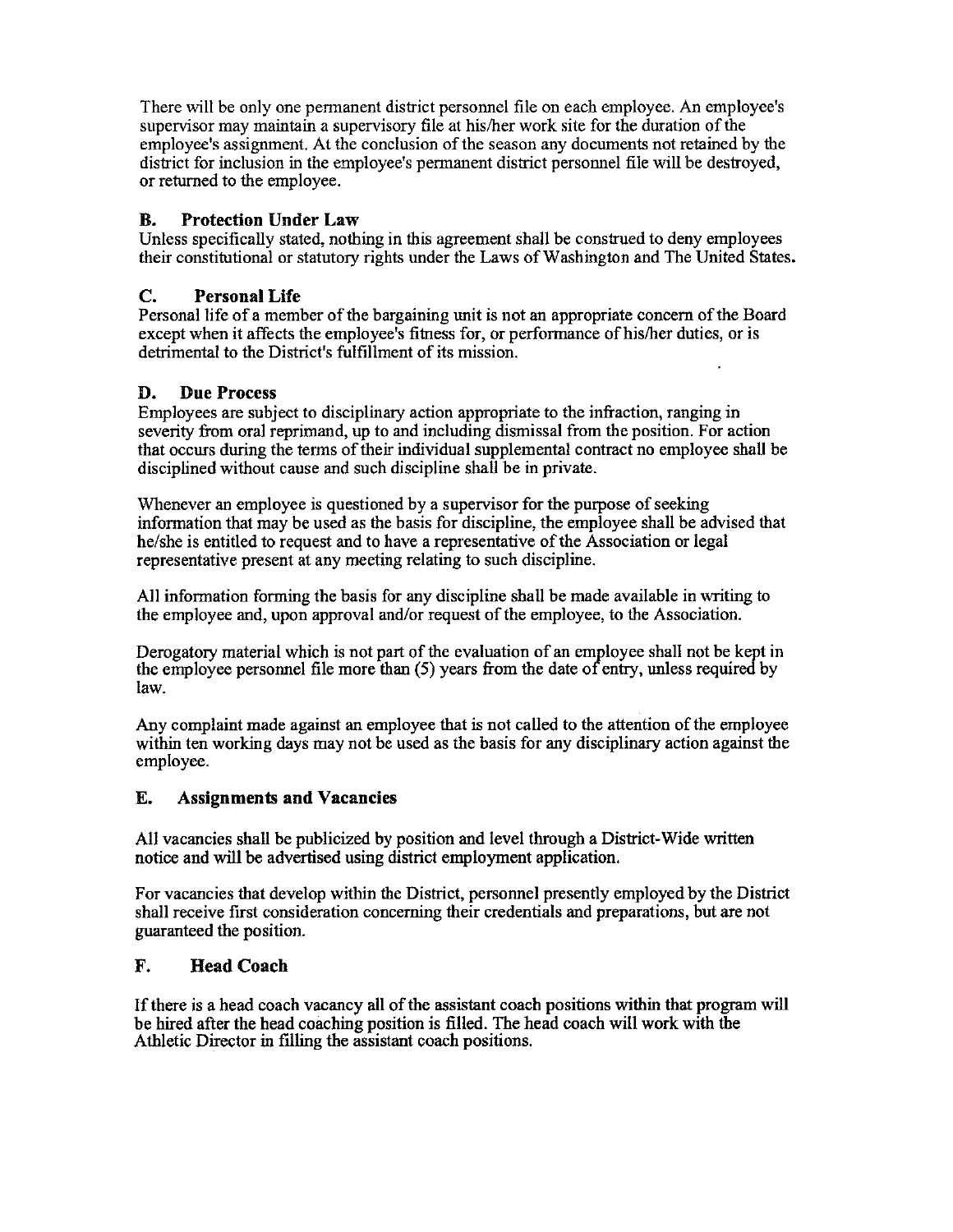There will be only one permanent district personnel file on each employee. An employee's supervisor may maintain a supervisory file at his/her work site for the duration of the employee's assignment. At the conclusion of the season any documents not retained by the district for inclusion in the employee's permanent district personnel file will be destroyed, or returned to the employee.

#### **B. Protection Under Law**

Unless specifically stated, nothing in this agreement shall be construed to deny employees their constitutional or statutory rights under the Laws of Washington and The United States.

#### **C. Personal Life**

Personal life ofa member of the bargaining unit is not an appropriate concern of the Board except when it affects the employee's fitness for, or performance of his/her duties, or is detrimental to the District's fulfillment of its mission.

#### **D. Due Process**

Employees are subject to disciplinary action appropriate to the infraction, ranging in severity from oral reprimand, up to and including dismissal from the position. For action that occurs during the terms of their individual supplemental contract no employee shall be disciplined without cause and such discipline shall be in private.

Whenever an employee is questioned by a supervisor for the purpose of seeking information that may be used as the basis for discipline, the employee shall be advised that he/she is entitled to request and to have a representative of the Association or legal representative present at any meeting relating to such discipline.

All information forming the basis for any discipline shall be made available in writing to the employee and, upon approval and/or request of the employee, to the Association.

Derogatory material which is not part of the evaluation of an employee shall not be kept in the employee personnel file more than  $(5)$  years from the date of entry, unless required by law.

Any complaint made against an employee that is not called to the attention of the employee within ten working days may not be used as the basis for any disciplinary action against the employee.

#### E. **Assignments and Vacancies**

All vacancies shall be publicized by position and level through a District-Wide written notice and will be advertised using district employment application.

For vacancies that develop within the District, personnel presently employed by the District shall receive first consideration concerning their credentials and preparations, but are not guaranteed the position.

#### **F. Head Coach**

If there is a head coach vacancy all of the assistant coach positions within that program will be hired after the head coaching position is filled. The head coach will work with the Athletic Director in filling the assistant coach positions.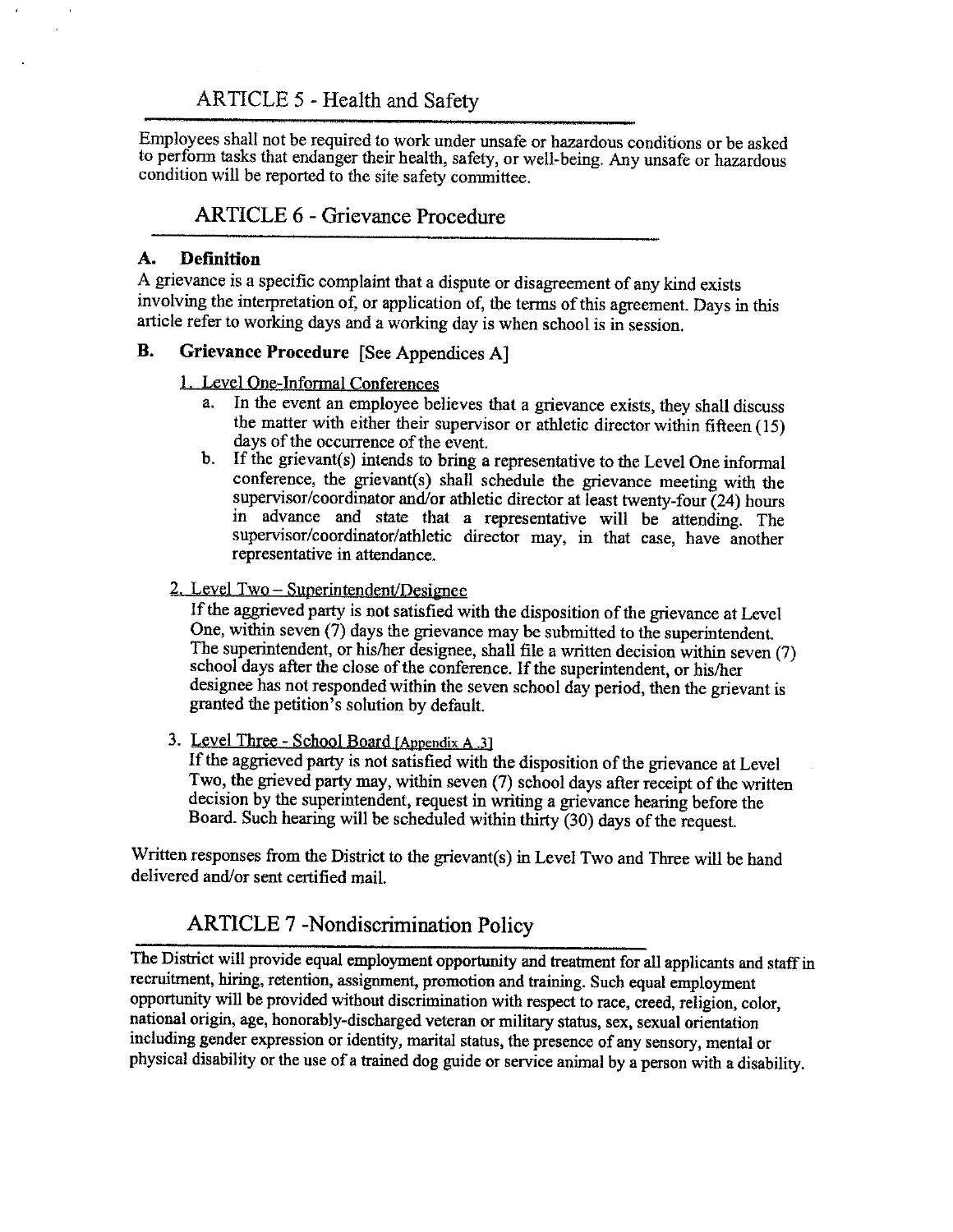Employees shall not be required to work under unsafe or hazardous conditions or be asked to perform tasks that endanger their health, safety, or well-being. Any unsafe or hazardous condition will be reported to the site safety committee.

### ARTICLE 6 - Grievance Procedure

#### **A. Defmition**

A grievance is a specific complaint that a dispute or disagreement of any kind exists involving the interpretation of, or application of, the terms of this agreement. Days in this article refer to working days and a working day is when school is in session.

#### **B. Grievance Procedure** [See Appendices A)

#### 1. Level One-Informal Conferences

- a. In the event an employee believes that a grievance exists, they shall discuss the matter with either their supervisor or athletic director within fifteen (15) days of the occurrence of the event.
- b. If the grievant(s) intends to bring a representative to the Level One informal conference, the grievant(s) shall schedule the grievance meeting with the supervisor/coordinator and/or athletic director at least twenty-four (24) hours in advance and state that a representative will be attending. The supervisor/coordinator/athletic director may, in that case, have another representative in attendance.

#### 2. Level Two - Superintendent/Designee

If the aggrieved party is not satisfied with the disposition of the grievance at Level One, within seven (7) days the grievance may be submitted to the superintendent. The superintendent, or his/her designee, shall file a written decision within seven (7) school days after the close of the conference. If the superintendent, or his/her designee has not responded within the seven school day period, then the grievant is granted the petition's solution by default.

3. Level Three - School Board [Appendix A 3]

If the aggrieved party is not satisfied with the disposition of the grievance at Level Two, the grieved party may, within seven (7) school days after receipt of the written decision by the superintendent, request in writing a grievance hearing before the Board. Such hearing will be scheduled within thirty (30) days of the request.

Written responses from the District to the grievant(s) in Level Two and Three will be hand delivered and/or sent certified mail.

## ARTICLE 7 -Nondiscrimination Policy

The District will provide equal employment opportunity and treatment for all applicants and staff in recruitment, hiring, retention, assignment, promotion and training. Such equal employment opportunity will be provided without discrimination with respect to race, creed, religion, color, national origin, age, honorably-discharged veteran or military status, sex, sexual orientation including gender expression or identity, marital status, the presence of any sensory, mental or physical disability or the use of a trained dog guide or service animal by a person with a disability.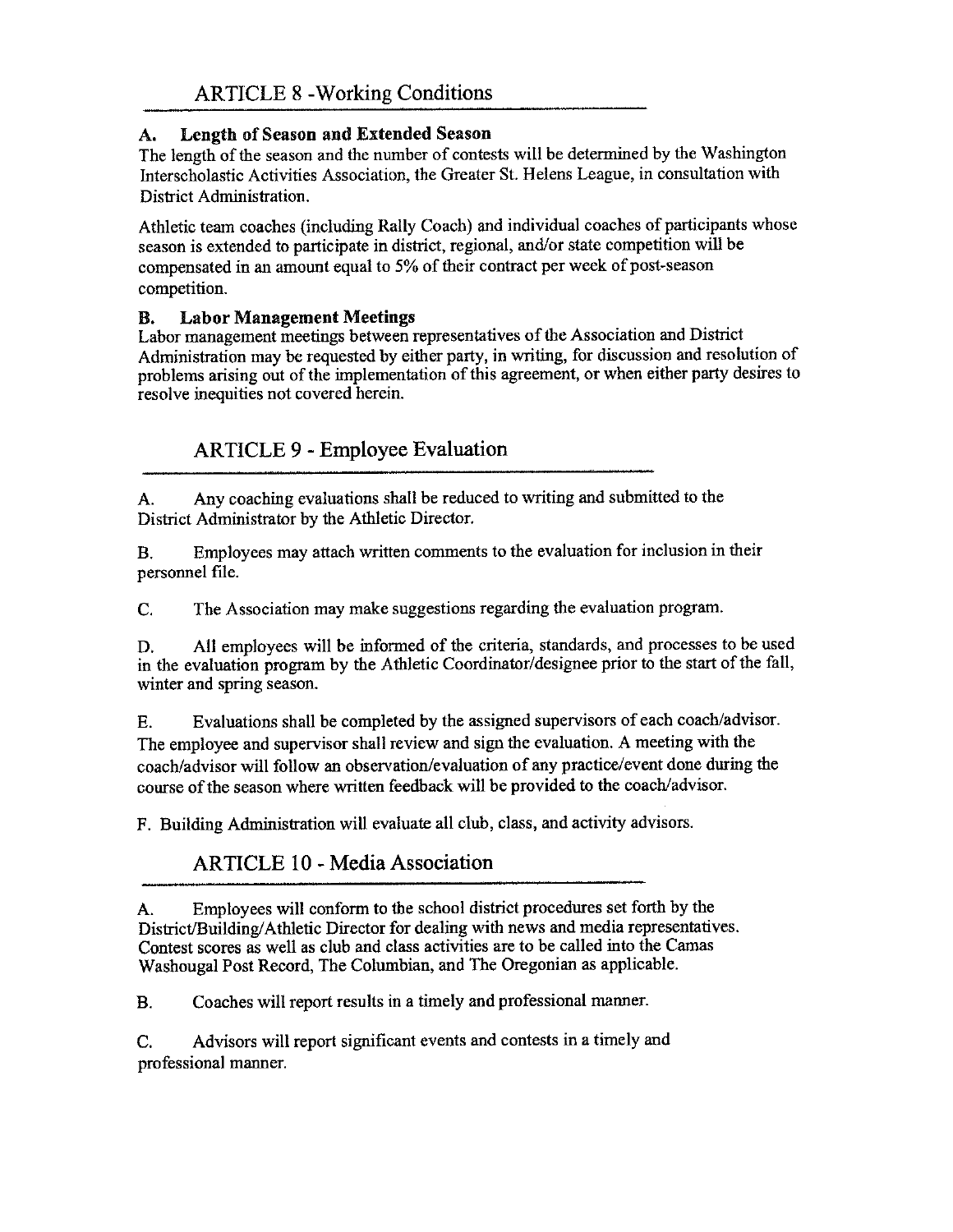## **A. Length of Season and Extended Season**

The length of the season and the number of contests will be determined by the Washington Interscholastic Activities Association, the Greater St. Helens League, in consultation with District Administration.

Athletic team coaches (including Rally Coach) and individual coaches of participants whose season is extended to participate in district, regional, and/or state competition will be compensated in an amount equal to 5% of their contract per week of post-season competition.

### **B. Labor Management Meetings**

Labor management meetings between representatives of the Association and District Administration may be requested by either party, in writing, for discussion and resolution of problems arising out of the implementation of this agreement, or when either party desires to resolve inequities not covered herein.

## **ARTICLE 9** - **Employee Evaluation**

A. Any coaching evaluations shall be reduced to writing and submitted to the District Administrator by the Athletic Director.

B. Employees may attach written comments to the evaluation for inclusion in their personnel file.

C. The Association may make suggestions regarding the evaluation program.

D. All employees will be informed of the criteria, standards, and processes to be used in the evaluation program by the Athletic Coordinator/designee prior to the start of the fall, winter and spring season.

E. Evaluations shall be completed by the assigned supervisors of each coach/advisor. The employee and supervisor shall review and sign the evaluation. A meeting with the coach/advisor will follow an observation/evaluation of any practice/event done during the course of the season where written feedback will be provided to the coach/advisor.

F. Building Administration will evaluate all club, class, and activity advisors.

## ARTICLE 10 - Media Association

A. Employees will conform to the school district procedures set forth by the District/Building/ Athletic Director for dealing with news and media representatives. Contest scores as well as club and class activities are to be called into the Camas Washougal Post Record, The Columbian, and The Oregonian as applicable.

B. Coaches will report results in a timely and professional manner.

C. Advisors will report significant events and contests in a timely and professional manner.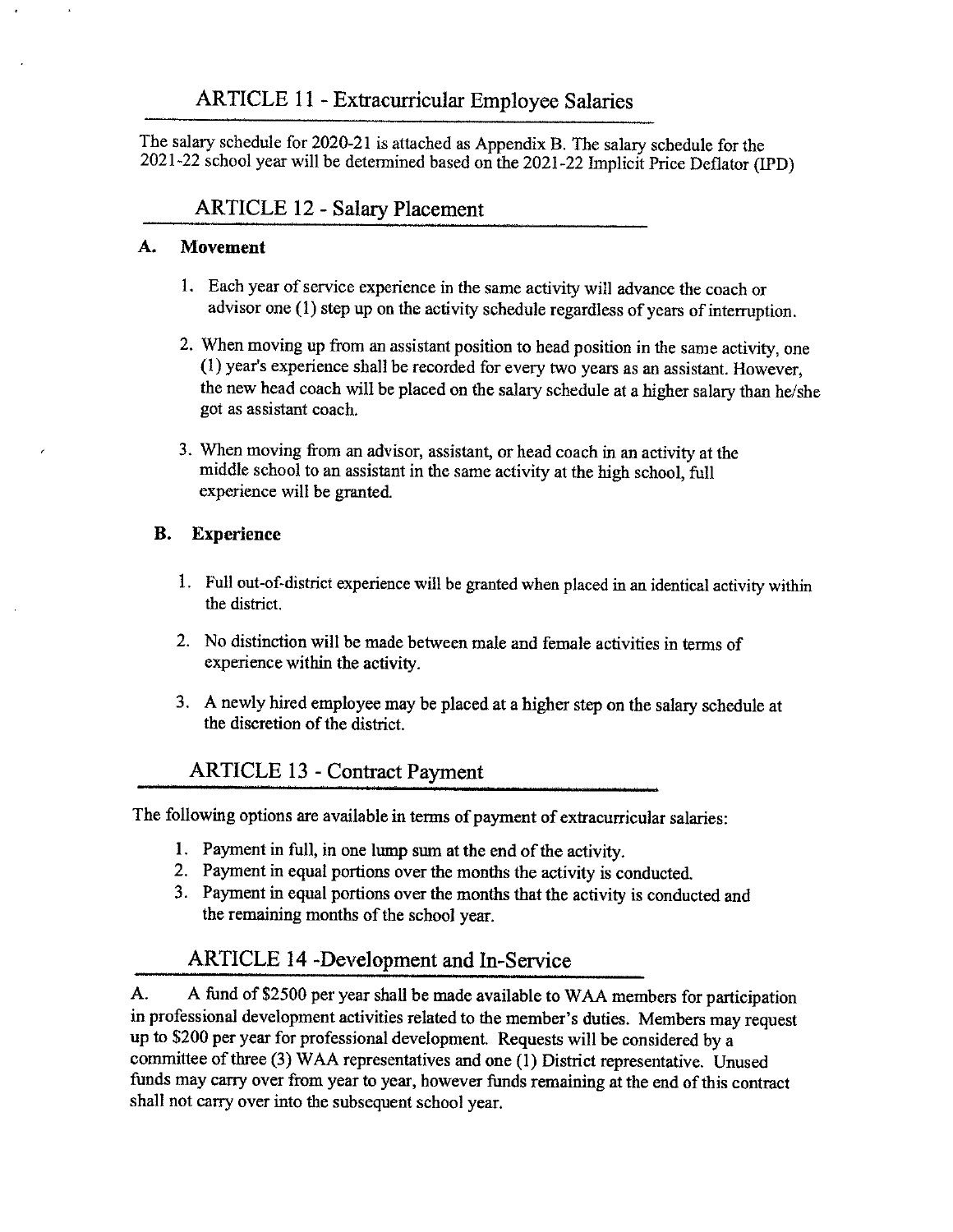The salary schedule for 2020-21 is attached as Appendix B. The salary schedule for the 2021-22 school year will be determined based on the 2021-22 Implicit Price Deflator (!PD)

## ARTICLE 12 - Salary Placement

#### **A. Movement**

- I. Each year of service experience in the same activity will advance the coach or advisor one (I) step up on the activity schedule regardless of years of interruption.
- 2. When moving up from an assistant position to head position in the same activity, one (I) year's experience shall be recorded for every two years as an assistant. However, the new head coach will be placed on the salary schedule at a higher salary than he/she got as assistant coach.
- 3. When moving from an advisor, assistant, or head coach in an activity at the middle school to an assistant in the same activity at the high school, full experience will be granted

### **B. Experience**

- 1. Full out-of-district experience will be granted when placed in an identical activity within the district.
- 2. No distinction will be made between male and female activities in terms of experience within the activity.
- 3. A newly hired employee may be placed at a higher step on the salary schedule at the discretion of the district.

## ARTICLE 13 - Contract Payment

The following options are available in terms of payment of extracurricular salaries:

- 1. Payment in full, in one lump sum at the end of the activity.
- 2. Payment in equal portions over the months the activity is conducted.
- 3. Payment in equal portions over the months that the activity is conducted and the remaining months of the school year.

## ARTICLE 14 -Development and In-Service

A. A fund of \$2500 per year shall be made available to W AA members for participation in professional development activities related to the member's duties. Members may request up to \$200 per year for professional development. Requests will be considered by a committee of three (3) WAA representatives and one (1) District representative. Unused funds may carry over from year to year, however funds remaining at the end of this contract shall not carry over into the subsequent school year.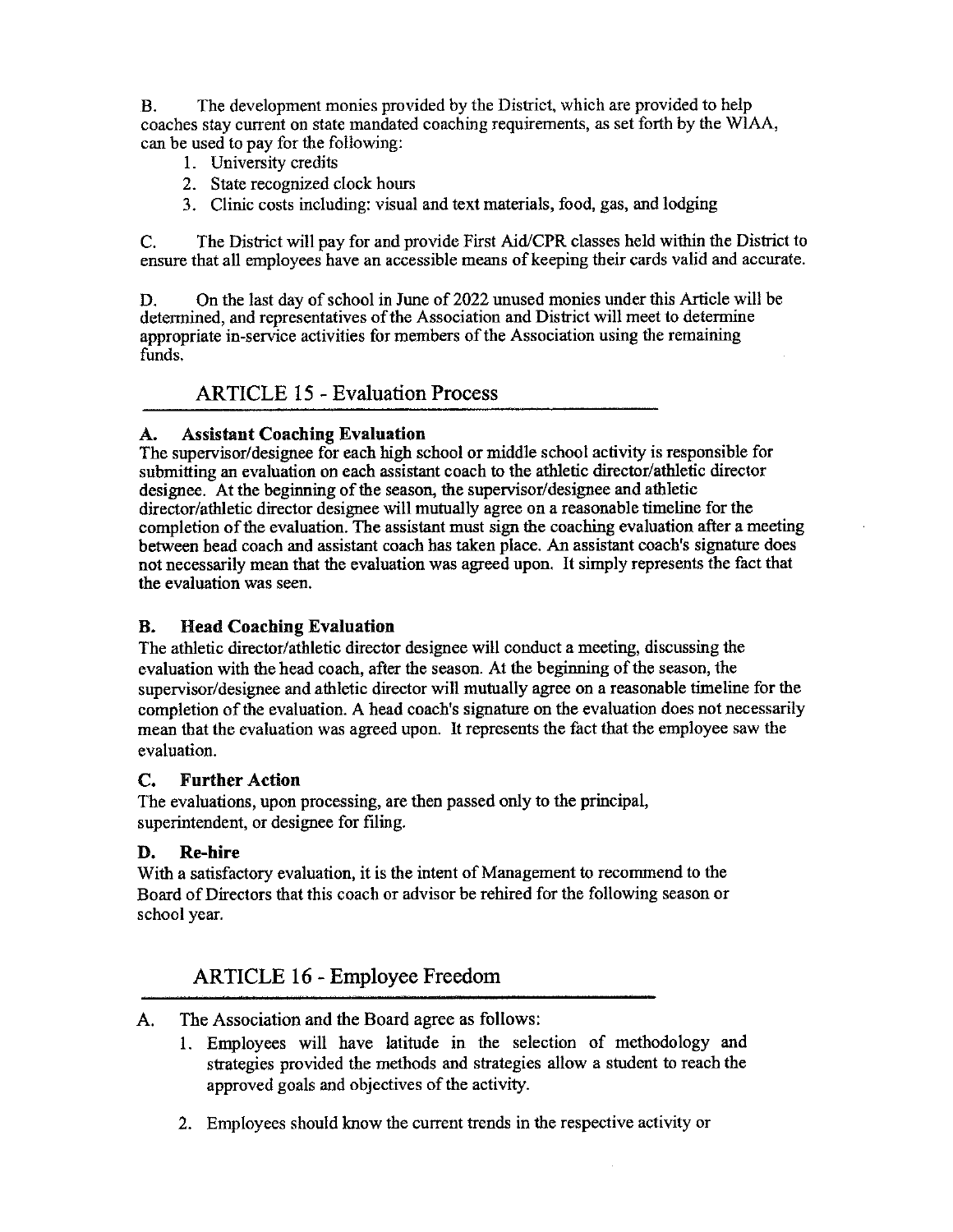B. The development monies provided by the District, which are provided to help coaches stay current on state mandated coaching requirements, as set forth by the W!AA, can be used to pay for the following:

- 1. University credits
- 2. State recognized clock hours
- 3. Clinic costs including: visual and text materials, food, gas, and lodging

C. The District will pay for and provide First Aid/CPR classes held within the District to ensure that all employees have an accessible means of keeping their cards valid and accurate.

D. On the last day of school in June of 2022 unused monies under this Article will be determined, and representatives of the Association and District will meet to determine appropriate in-service activities for members of the Association using the remaining funds.

### ARTICLE 15 - Evaluation Process

#### **A. Assistant Coaching Evaluation**

The supervisor/designee for each high school or middle school activity is responsible for submitting an evaluation on each assistant coach to the athletic director/athletic director designee. At the beginning of the season, the supervisor/designee and athletic director/athletic director designee will mutually agree on a reasonable timeline for the completion of the evaluation. The assistant must sign the coaching evaluation after a meeting between head coach and assistant coach has taken place. An assistant coach's signature does not necessarily mean that the evaluation was agreed upon. It simply represents the fact that the evaluation was seen.

#### **B. Head Coaching Evaluation**

The athletic director/athletic director designee will conduct a meeting, discussing the evaluation with the head coach, after the season. At the beginning of the season, the supervisor/designee and athletic director will mutually agree on a reasonable timeline for the completion of the evaluation. A head coach's signature on the evaluation does not necessarily mean that the evaluation was agreed upon. It represents the fact that the employee saw the evaluation.

#### **C. Further Action**

The evaluations, upon processing, are then passed only to the principal, superintendent, or designee for filing.

#### **D. Re-hire**

With a satisfactory evaluation, it is the intent of Management to recommend to the Board of Directors that this coach or advisor be rehired for the following season or school year.

## ARTICLE 16 - Employee Freedom

- A. The Association and the Board agree as follows:
	- l. Employees will have latitude in the selection of methodology and strategies provided the methods and strategies allow a student to reach the approved goals and objectives of the activity.
	- 2. Employees should know the current trends in the respective activity or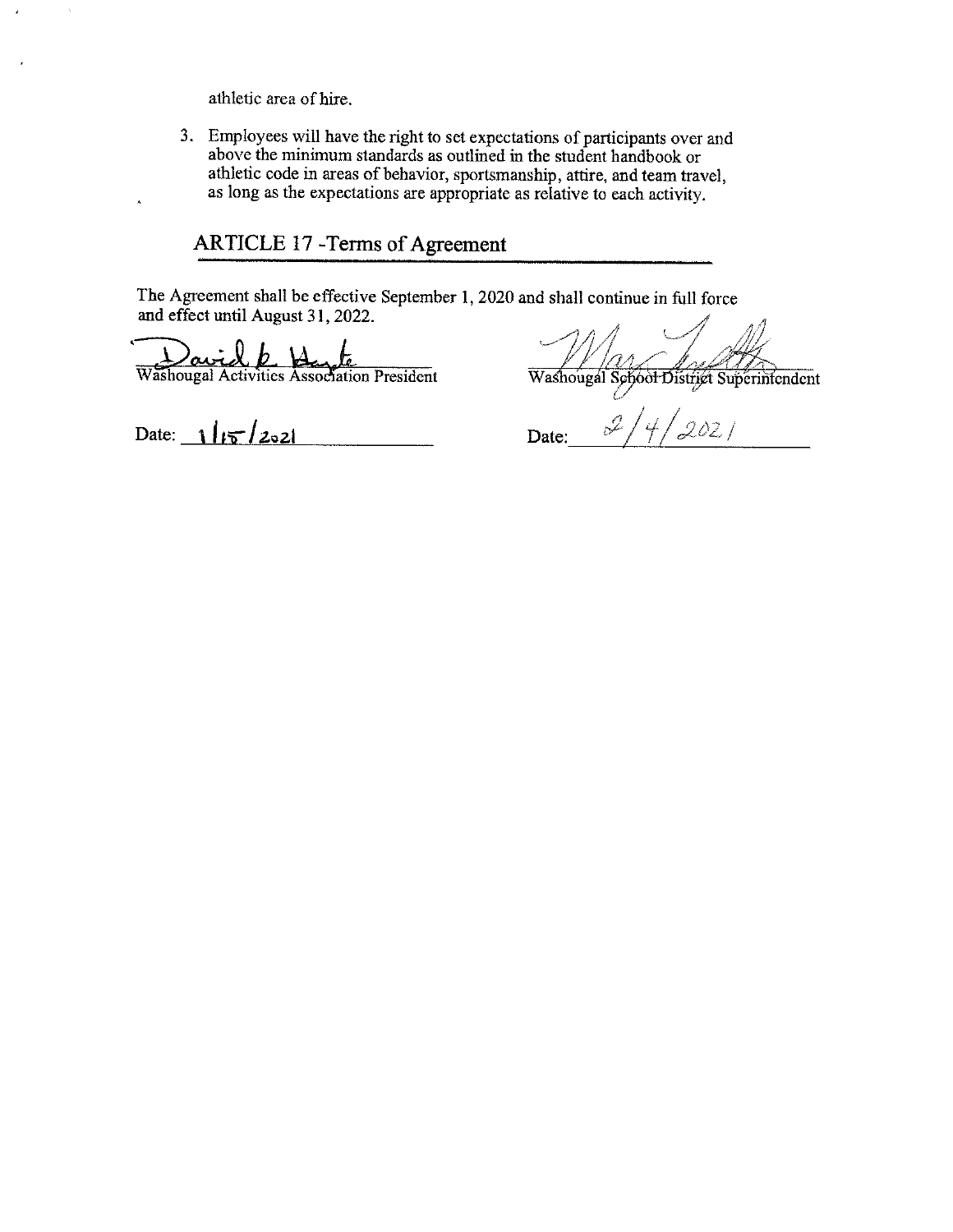athletic area of hire.

 $\bar{\lambda}$ 

 $\lambda$ 

3. Employees will have the right to set expectations of participants over and above the minimum standards as outlined in the student handbook or athletic code in areas of behavior, sportsmanship, attire, and team travel, as long as the expectations are appropriate as relative to each activity.

## ARTICLE 17 -Terms of Agreement

The Agreement shall be effective September I, 2020 and shall continue in full force and effect until August 31, 2022.

Washougal Activities Assoc ai <u>b</u>

de<br>Plation President

 $\text{Date:} \begin{array}{c|c|c|c} & & & \text{Date:} \end{array}$ 

Washougal Sehoot District Superintendent

 $21/4/2021$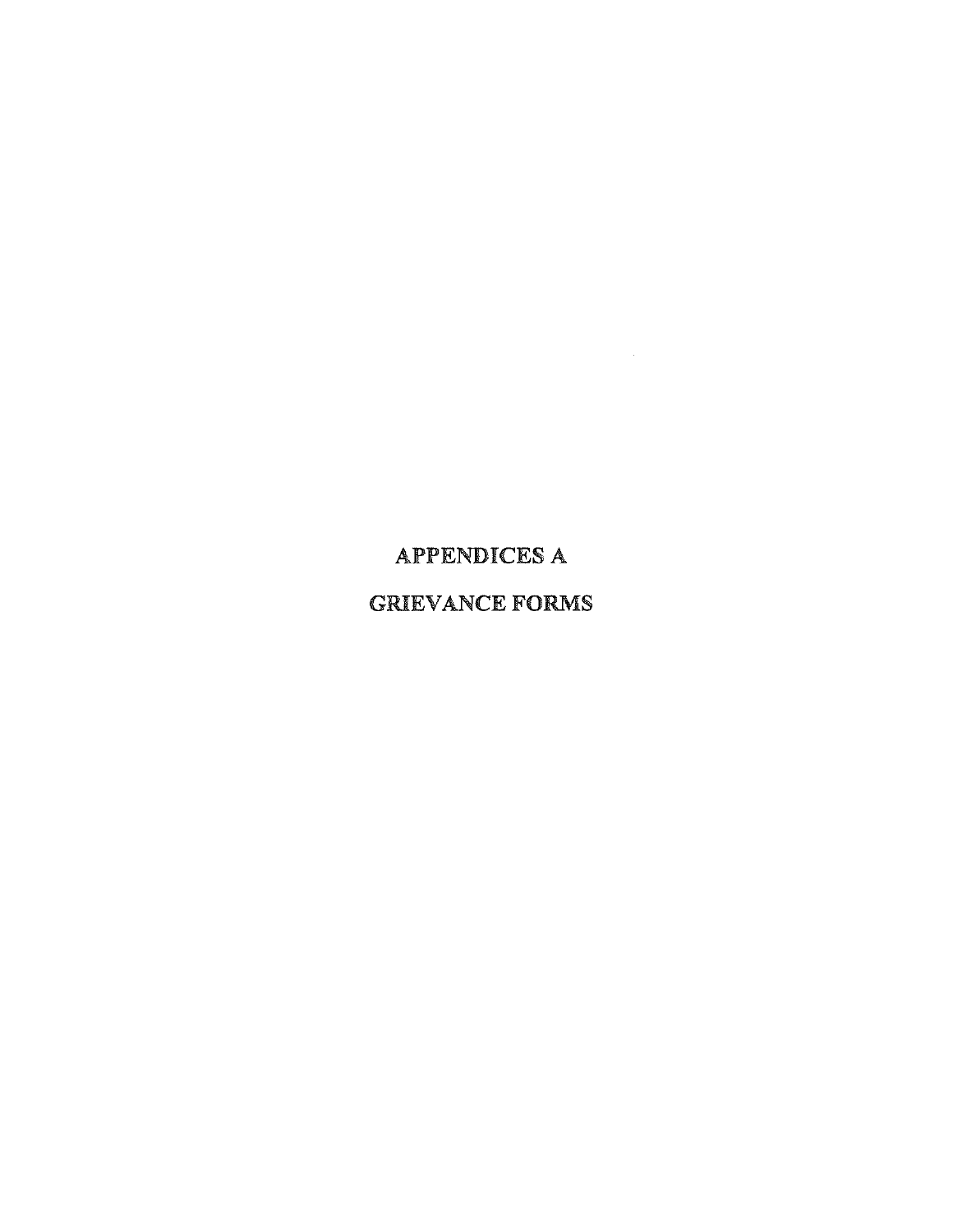## APPENDICES A

## GRIEVANCE FORMS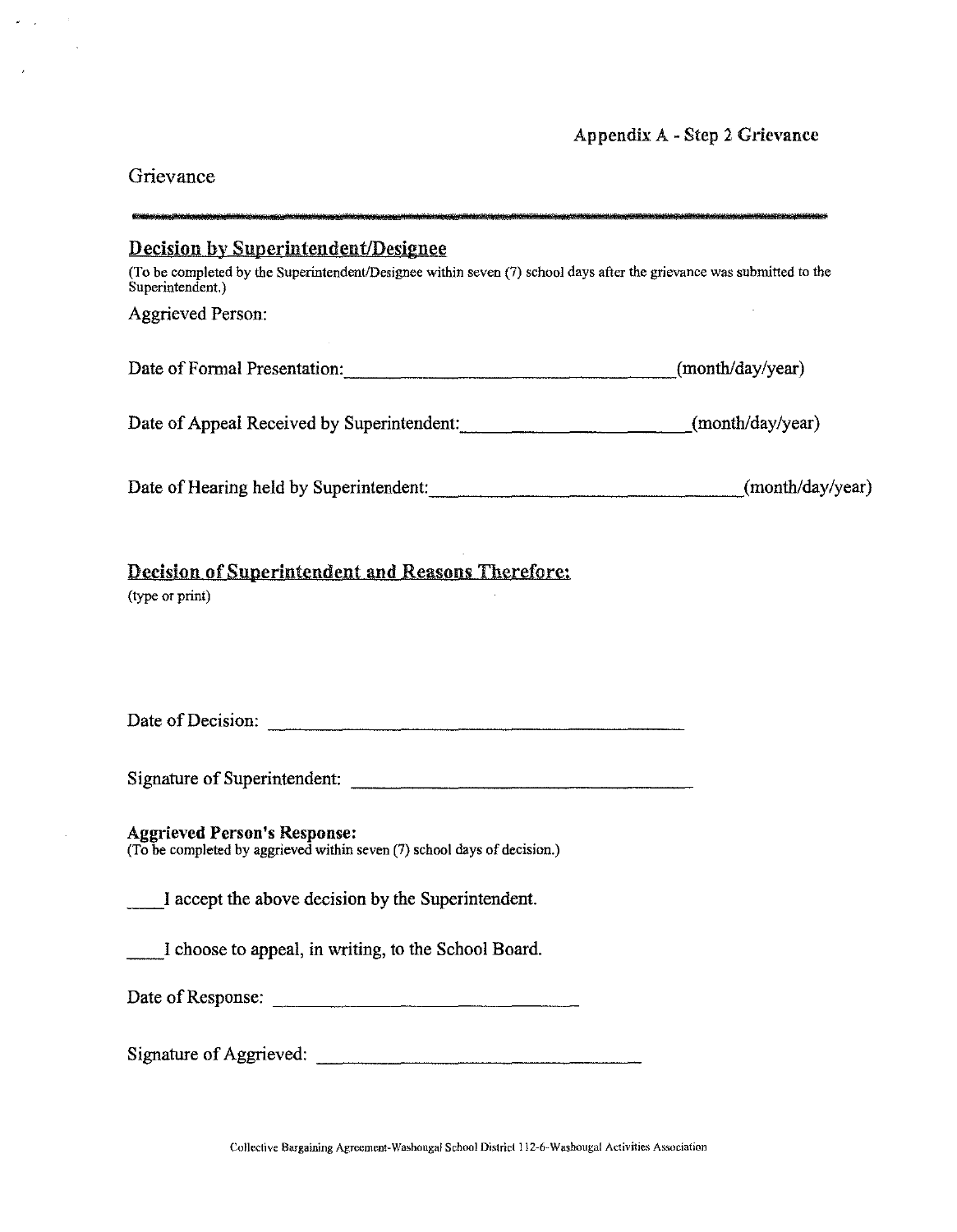## Appendix A - Step 2 Grievance

## Grievance

 $\mathcal{L}(\mathcal{A})$ 

 $\mathcal{L}^{\text{max}}$ 

 $\langle \cdot, \cdot \rangle$  $\sim$   $\sim$ 

 $\bar{\gamma}$ 

| <b>Decision by Superintendent/Designee</b>                                                                                                |                  |
|-------------------------------------------------------------------------------------------------------------------------------------------|------------------|
| (To be completed by the Superintendent/Designee within seven (7) school days after the grievance was submitted to the<br>Superintendent.) |                  |
| <b>Aggrieved Person:</b>                                                                                                                  |                  |
| Date of Formal Presentation:                                                                                                              | (month/day/year) |
| Date of Appeal Received by Superintendent: ____________________________(month/day/year)                                                   |                  |
| Date of Hearing held by Superintendent: (month/day/year)                                                                                  |                  |
| Decision of Superintendent and Reasons Therefore:<br>(type or print)                                                                      |                  |
|                                                                                                                                           |                  |
|                                                                                                                                           |                  |
| <b>Aggrieved Person's Response:</b><br>(To be completed by aggrieved within seven (7) school days of decision.)                           |                  |
| I accept the above decision by the Superintendent.                                                                                        |                  |
| I choose to appeal, in writing, to the School Board.                                                                                      |                  |
| Date of Response:                                                                                                                         |                  |
| Signature of Aggrieved:                                                                                                                   |                  |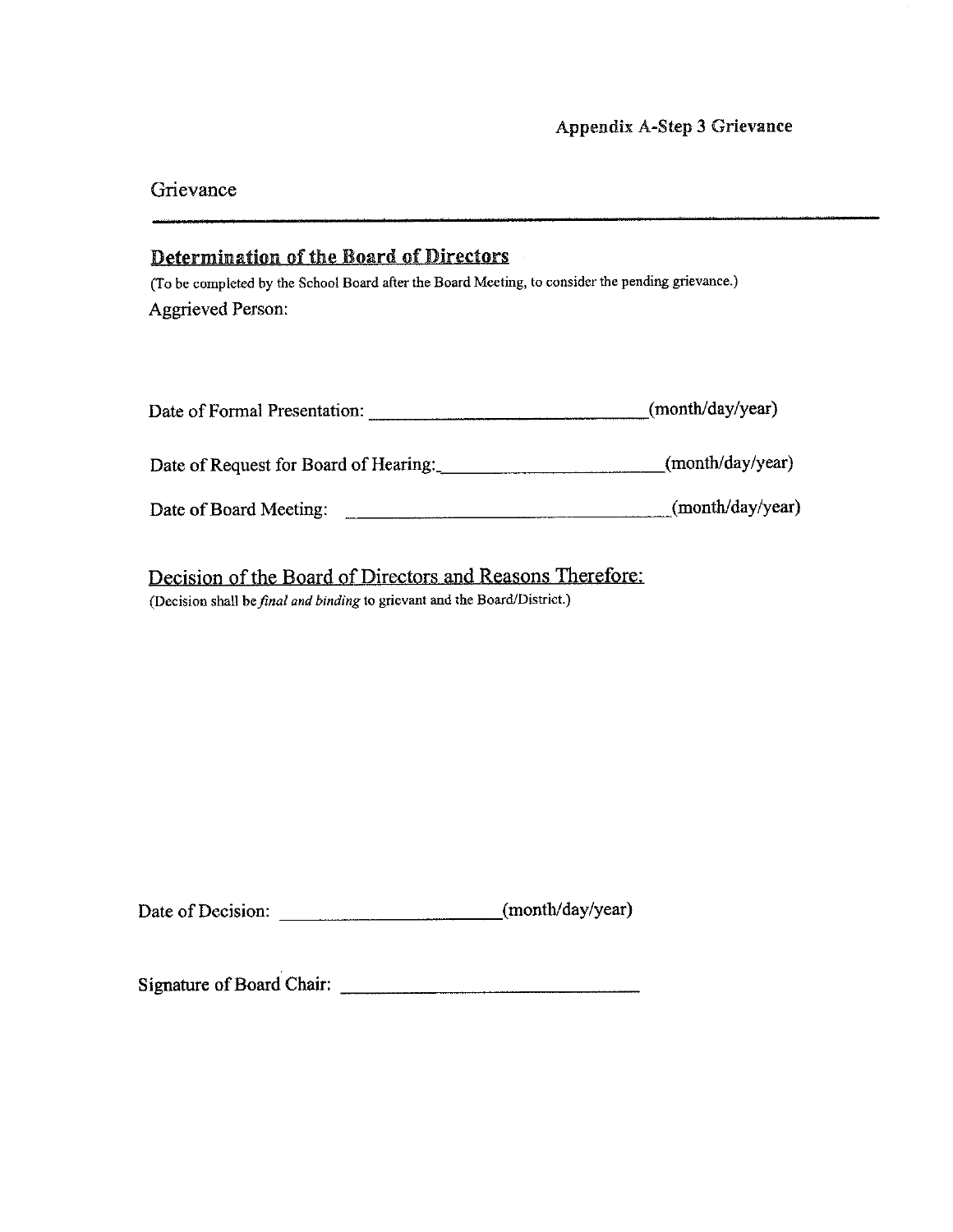#### Grievance

## Determination of the Board of Directors

(To be completed by the School Board after the Board Meeting, to consider the pending grievance.) Aggrieved Person:

| Date of Formal Presentation:          | (month/day/year) |
|---------------------------------------|------------------|
| Date of Request for Board of Hearing: | (month/day/year) |
| Date of Board Meeting:                | (month/day/year) |

Decision of the Board of Directors and Reasons Therefore: (Decision shall be *final and binding* to grievant and the Board/District.)

Date of Decision: \_\_\_\_\_\_\_\_\_\_\_\_\_\_\_\_\_\_\_\_\_\_\_\_\_\_(month/day/year)

Signature of Board Chair: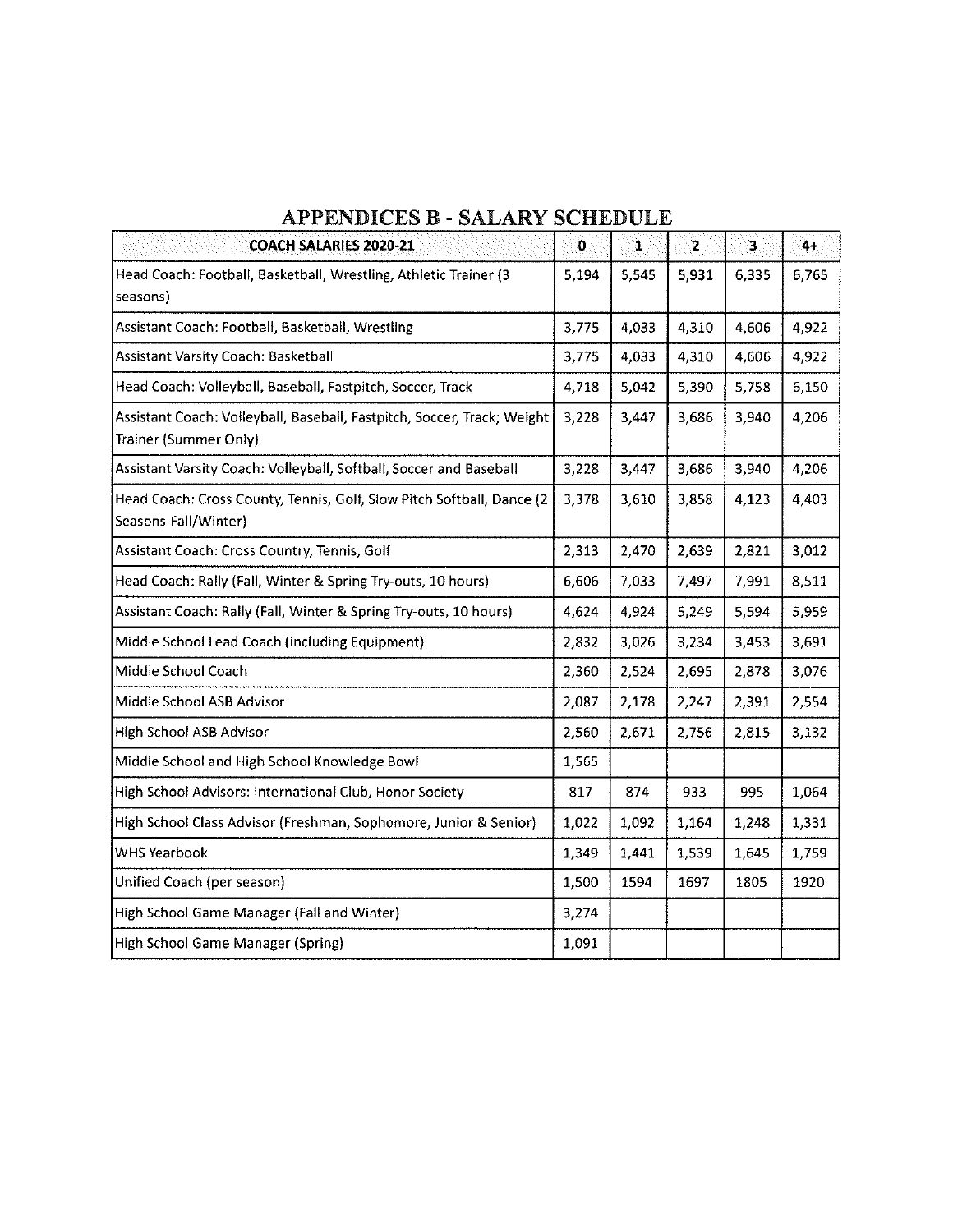| * * * * * * * * * * * * *<br>UZ BLJI BAN B                                                       |             |       |       |       |       |  |  |  |  |
|--------------------------------------------------------------------------------------------------|-------------|-------|-------|-------|-------|--|--|--|--|
| <b>COACH SALARIES 2020-21</b>                                                                    | $\mathbf 0$ | 1     | 2     | 3.    | 4+    |  |  |  |  |
| Head Coach: Football, Basketball, Wrestling, Athletic Trainer (3<br>seasons)                     | 5,194       | 5,545 | 5,931 | 6,335 | 6,765 |  |  |  |  |
| Assistant Coach: Football, Basketball, Wrestling                                                 | 3,775       | 4,033 | 4,310 | 4,606 | 4,922 |  |  |  |  |
| Assistant Varsity Coach: Basketball                                                              | 3,775       | 4,033 | 4,310 | 4,606 | 4,922 |  |  |  |  |
| Head Coach: Volleyball, Baseball, Fastpitch, Soccer, Track                                       | 4,718       | 5,042 | 5,390 | 5,758 | 6,150 |  |  |  |  |
| Assistant Coach: Volleyball, Baseball, Fastpitch, Soccer, Track; Weight<br>Trainer (Summer Only) | 3,228       | 3,447 | 3,686 | 3,940 | 4,206 |  |  |  |  |
| Assistant Varsity Coach: Volleyball, Softball, Soccer and Baseball                               | 3,228       | 3,447 | 3,686 | 3,940 | 4,206 |  |  |  |  |
| Head Coach: Cross County, Tennis, Golf, Slow Pitch Softball, Dance (2<br>Seasons-Fall/Winter)    | 3,378       | 3,610 | 3,858 | 4,123 | 4,403 |  |  |  |  |
| Assistant Coach: Cross Country, Tennis, Golf                                                     | 2,313       | 2,470 | 2,639 | 2,821 | 3,012 |  |  |  |  |
| Head Coach: Rally (Fall, Winter & Spring Try-outs, 10 hours)                                     | 6,606       | 7,033 | 7,497 | 7,991 | 8,511 |  |  |  |  |
| Assistant Coach: Rally (Fall, Winter & Spring Try-outs, 10 hours)                                | 4,624       | 4,924 | 5,249 | 5,594 | 5,959 |  |  |  |  |
| Middle School Lead Coach (including Equipment)                                                   | 2,832       | 3,026 | 3,234 | 3,453 | 3,691 |  |  |  |  |
| Middle School Coach                                                                              | 2,360       | 2,524 | 2,695 | 2,878 | 3,076 |  |  |  |  |
| Middle School ASB Advisor                                                                        | 2.087       | 2,178 | 2,247 | 2.391 | 2,554 |  |  |  |  |
| High School ASB Advisor                                                                          | 2,560       | 2,671 | 2.756 | 2,815 | 3,132 |  |  |  |  |
| Middle School and High School Knowledge Bowl                                                     | 1,565       |       |       |       |       |  |  |  |  |
| High School Advisors: International Club, Honor Society                                          | 817         | 874   | 933   | 995   | 1,064 |  |  |  |  |
| High School Class Advisor (Freshman, Sophomore, Junior & Senior)                                 | 1,022       | 1,092 | 1.164 | 1,248 | 1,331 |  |  |  |  |
| <b>WHS Yearbook</b>                                                                              | 1,349       | 1,441 | 1,539 | 1,645 | 1,759 |  |  |  |  |
| Unified Coach (per season)                                                                       | 1,500       | 1594  | 1697  | 1805  | 1920  |  |  |  |  |
| High School Game Manager (Fall and Winter)                                                       | 3,274       |       |       |       |       |  |  |  |  |
| High School Game Manager (Spring)                                                                | 1,091       |       |       |       |       |  |  |  |  |

## **APPENDICES B** - **SALARY SCHEDULE**